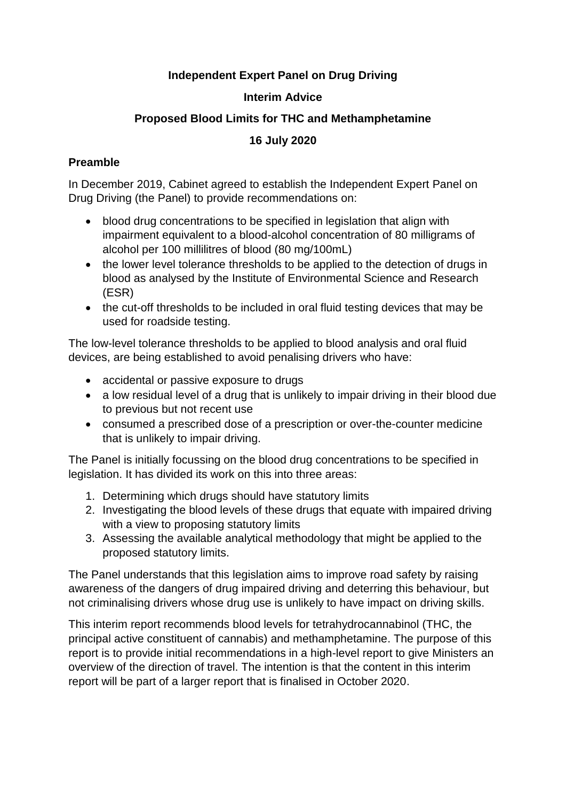# **Independent Expert Panel on Drug Driving**

## **Interim Advice**

## **Proposed Blood Limits for THC and Methamphetamine**

# **16 July 2020**

# **Preamble**

In December 2019, Cabinet agreed to establish the Independent Expert Panel on Drug Driving (the Panel) to provide recommendations on:

- blood drug concentrations to be specified in legislation that align with impairment equivalent to a blood-alcohol concentration of 80 milligrams of alcohol per 100 millilitres of blood (80 mg/100mL)
- the lower level tolerance thresholds to be applied to the detection of drugs in blood as analysed by the Institute of Environmental Science and Research (ESR)
- the cut-off thresholds to be included in oral fluid testing devices that may be used for roadside testing.

The low-level tolerance thresholds to be applied to blood analysis and oral fluid devices, are being established to avoid penalising drivers who have:

- accidental or passive exposure to drugs
- a low residual level of a drug that is unlikely to impair driving in their blood due to previous but not recent use
- consumed a prescribed dose of a prescription or over-the-counter medicine that is unlikely to impair driving.

The Panel is initially focussing on the blood drug concentrations to be specified in legislation. It has divided its work on this into three areas:

- 1. Determining which drugs should have statutory limits
- 2. Investigating the blood levels of these drugs that equate with impaired driving with a view to proposing statutory limits
- 3. Assessing the available analytical methodology that might be applied to the proposed statutory limits.

The Panel understands that this legislation aims to improve road safety by raising awareness of the dangers of drug impaired driving and deterring this behaviour, but not criminalising drivers whose drug use is unlikely to have impact on driving skills.

This interim report recommends blood levels for tetrahydrocannabinol (THC, the principal active constituent of cannabis) and methamphetamine. The purpose of this report is to provide initial recommendations in a high-level report to give Ministers an overview of the direction of travel. The intention is that the content in this interim report will be part of a larger report that is finalised in October 2020.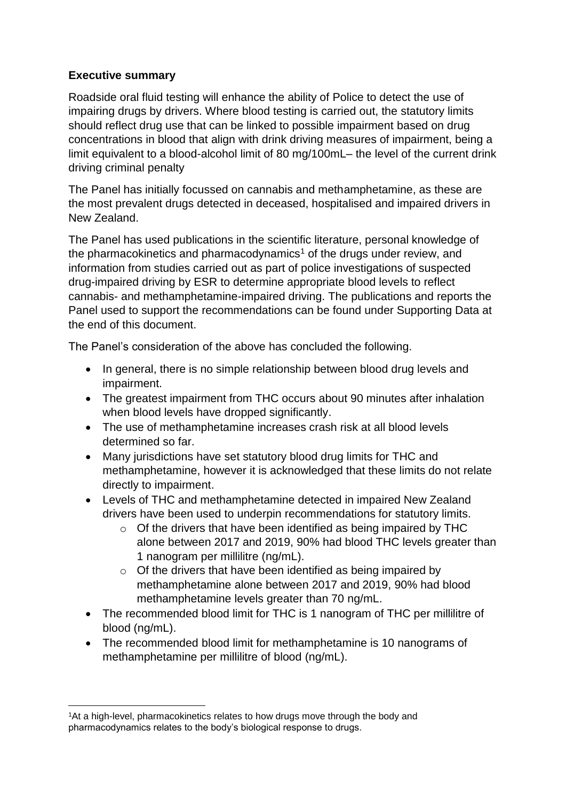# **Executive summary**

Roadside oral fluid testing will enhance the ability of Police to detect the use of impairing drugs by drivers. Where blood testing is carried out, the statutory limits should reflect drug use that can be linked to possible impairment based on drug concentrations in blood that align with drink driving measures of impairment, being a limit equivalent to a blood-alcohol limit of 80 mg/100mL– the level of the current drink driving criminal penalty

The Panel has initially focussed on cannabis and methamphetamine, as these are the most prevalent drugs detected in deceased, hospitalised and impaired drivers in New Zealand.

The Panel has used publications in the scientific literature, personal knowledge of the pharmacokinetics and pharmacodynamics<sup>1</sup> of the drugs under review, and information from studies carried out as part of police investigations of suspected drug-impaired driving by ESR to determine appropriate blood levels to reflect cannabis- and methamphetamine-impaired driving. The publications and reports the Panel used to support the recommendations can be found under Supporting Data at the end of this document.

The Panel's consideration of the above has concluded the following.

- In general, there is no simple relationship between blood drug levels and impairment.
- The greatest impairment from THC occurs about 90 minutes after inhalation when blood levels have dropped significantly.
- The use of methamphetamine increases crash risk at all blood levels determined so far.
- Many jurisdictions have set statutory blood drug limits for THC and methamphetamine, however it is acknowledged that these limits do not relate directly to impairment.
- Levels of THC and methamphetamine detected in impaired New Zealand drivers have been used to underpin recommendations for statutory limits.
	- o Of the drivers that have been identified as being impaired by THC alone between 2017 and 2019, 90% had blood THC levels greater than 1 nanogram per millilitre (ng/mL).
	- $\circ$  Of the drivers that have been identified as being impaired by methamphetamine alone between 2017 and 2019, 90% had blood methamphetamine levels greater than 70 ng/mL.
- The recommended blood limit for THC is 1 nanogram of THC per millilitre of blood (ng/mL).
- The recommended blood limit for methamphetamine is 10 nanograms of methamphetamine per millilitre of blood (ng/mL).

<sup>1</sup> <sup>1</sup>At a high-level, pharmacokinetics relates to how drugs move through the body and pharmacodynamics relates to the body's biological response to drugs.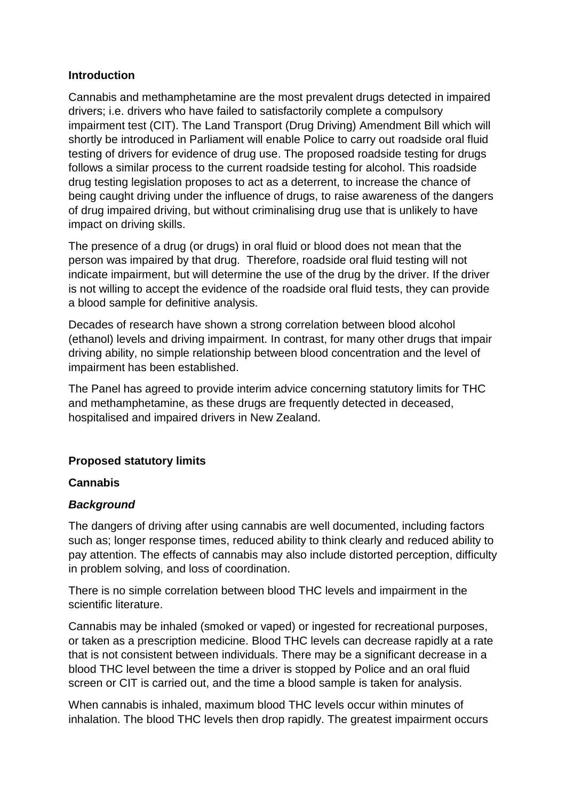### **Introduction**

Cannabis and methamphetamine are the most prevalent drugs detected in impaired drivers; i.e. drivers who have failed to satisfactorily complete a compulsory impairment test (CIT). The Land Transport (Drug Driving) Amendment Bill which will shortly be introduced in Parliament will enable Police to carry out roadside oral fluid testing of drivers for evidence of drug use. The proposed roadside testing for drugs follows a similar process to the current roadside testing for alcohol. This roadside drug testing legislation proposes to act as a deterrent, to increase the chance of being caught driving under the influence of drugs, to raise awareness of the dangers of drug impaired driving, but without criminalising drug use that is unlikely to have impact on driving skills.

The presence of a drug (or drugs) in oral fluid or blood does not mean that the person was impaired by that drug. Therefore, roadside oral fluid testing will not indicate impairment, but will determine the use of the drug by the driver. If the driver is not willing to accept the evidence of the roadside oral fluid tests, they can provide a blood sample for definitive analysis.

Decades of research have shown a strong correlation between blood alcohol (ethanol) levels and driving impairment. In contrast, for many other drugs that impair driving ability, no simple relationship between blood concentration and the level of impairment has been established.

The Panel has agreed to provide interim advice concerning statutory limits for THC and methamphetamine, as these drugs are frequently detected in deceased, hospitalised and impaired drivers in New Zealand.

## **Proposed statutory limits**

### **Cannabis**

## *Background*

The dangers of driving after using cannabis are well documented, including factors such as; longer response times, reduced ability to think clearly and reduced ability to pay attention. The effects of cannabis may also include distorted perception, difficulty in problem solving, and loss of coordination.

There is no simple correlation between blood THC levels and impairment in the scientific literature.

Cannabis may be inhaled (smoked or vaped) or ingested for recreational purposes, or taken as a prescription medicine. Blood THC levels can decrease rapidly at a rate that is not consistent between individuals. There may be a significant decrease in a blood THC level between the time a driver is stopped by Police and an oral fluid screen or CIT is carried out, and the time a blood sample is taken for analysis.

When cannabis is inhaled, maximum blood THC levels occur within minutes of inhalation. The blood THC levels then drop rapidly. The greatest impairment occurs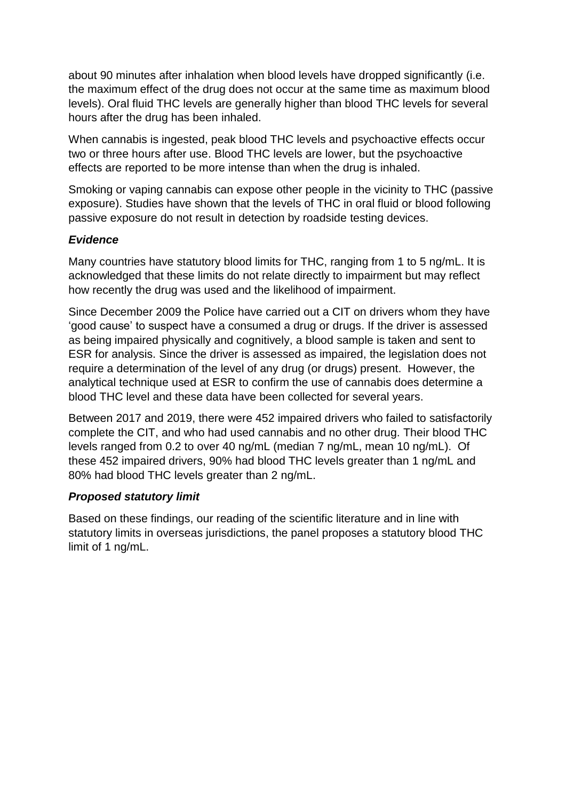about 90 minutes after inhalation when blood levels have dropped significantly (i.e. the maximum effect of the drug does not occur at the same time as maximum blood levels). Oral fluid THC levels are generally higher than blood THC levels for several hours after the drug has been inhaled.

When cannabis is ingested, peak blood THC levels and psychoactive effects occur two or three hours after use. Blood THC levels are lower, but the psychoactive effects are reported to be more intense than when the drug is inhaled.

Smoking or vaping cannabis can expose other people in the vicinity to THC (passive exposure). Studies have shown that the levels of THC in oral fluid or blood following passive exposure do not result in detection by roadside testing devices.

# *Evidence*

Many countries have statutory blood limits for THC, ranging from 1 to 5 ng/mL. It is acknowledged that these limits do not relate directly to impairment but may reflect how recently the drug was used and the likelihood of impairment.

Since December 2009 the Police have carried out a CIT on drivers whom they have 'good cause' to suspect have a consumed a drug or drugs. If the driver is assessed as being impaired physically and cognitively, a blood sample is taken and sent to ESR for analysis. Since the driver is assessed as impaired, the legislation does not require a determination of the level of any drug (or drugs) present. However, the analytical technique used at ESR to confirm the use of cannabis does determine a blood THC level and these data have been collected for several years.

Between 2017 and 2019, there were 452 impaired drivers who failed to satisfactorily complete the CIT, and who had used cannabis and no other drug. Their blood THC levels ranged from 0.2 to over 40 ng/mL (median 7 ng/mL, mean 10 ng/mL). Of these 452 impaired drivers, 90% had blood THC levels greater than 1 ng/mL and 80% had blood THC levels greater than 2 ng/mL.

## *Proposed statutory limit*

Based on these findings, our reading of the scientific literature and in line with statutory limits in overseas jurisdictions, the panel proposes a statutory blood THC limit of 1 ng/mL.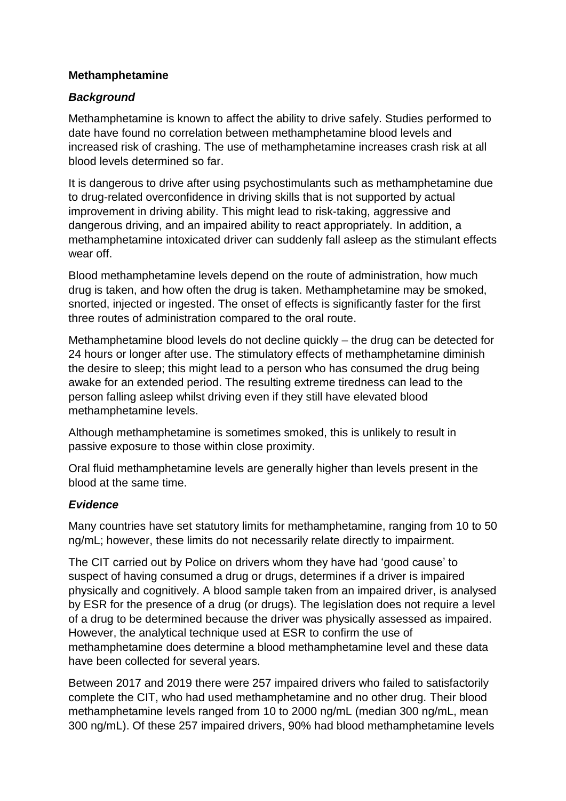## **Methamphetamine**

## *Background*

Methamphetamine is known to affect the ability to drive safely. Studies performed to date have found no correlation between methamphetamine blood levels and increased risk of crashing. The use of methamphetamine increases crash risk at all blood levels determined so far.

It is dangerous to drive after using psychostimulants such as methamphetamine due to drug-related overconfidence in driving skills that is not supported by actual improvement in driving ability. This might lead to risk-taking, aggressive and dangerous driving, and an impaired ability to react appropriately. In addition, a methamphetamine intoxicated driver can suddenly fall asleep as the stimulant effects wear off.

Blood methamphetamine levels depend on the route of administration, how much drug is taken, and how often the drug is taken. Methamphetamine may be smoked, snorted, injected or ingested. The onset of effects is significantly faster for the first three routes of administration compared to the oral route.

Methamphetamine blood levels do not decline quickly – the drug can be detected for 24 hours or longer after use. The stimulatory effects of methamphetamine diminish the desire to sleep; this might lead to a person who has consumed the drug being awake for an extended period. The resulting extreme tiredness can lead to the person falling asleep whilst driving even if they still have elevated blood methamphetamine levels.

Although methamphetamine is sometimes smoked, this is unlikely to result in passive exposure to those within close proximity.

Oral fluid methamphetamine levels are generally higher than levels present in the blood at the same time.

## *Evidence*

Many countries have set statutory limits for methamphetamine, ranging from 10 to 50 ng/mL; however, these limits do not necessarily relate directly to impairment.

The CIT carried out by Police on drivers whom they have had 'good cause' to suspect of having consumed a drug or drugs, determines if a driver is impaired physically and cognitively. A blood sample taken from an impaired driver, is analysed by ESR for the presence of a drug (or drugs). The legislation does not require a level of a drug to be determined because the driver was physically assessed as impaired. However, the analytical technique used at ESR to confirm the use of methamphetamine does determine a blood methamphetamine level and these data have been collected for several years.

Between 2017 and 2019 there were 257 impaired drivers who failed to satisfactorily complete the CIT, who had used methamphetamine and no other drug. Their blood methamphetamine levels ranged from 10 to 2000 ng/mL (median 300 ng/mL, mean 300 ng/mL). Of these 257 impaired drivers, 90% had blood methamphetamine levels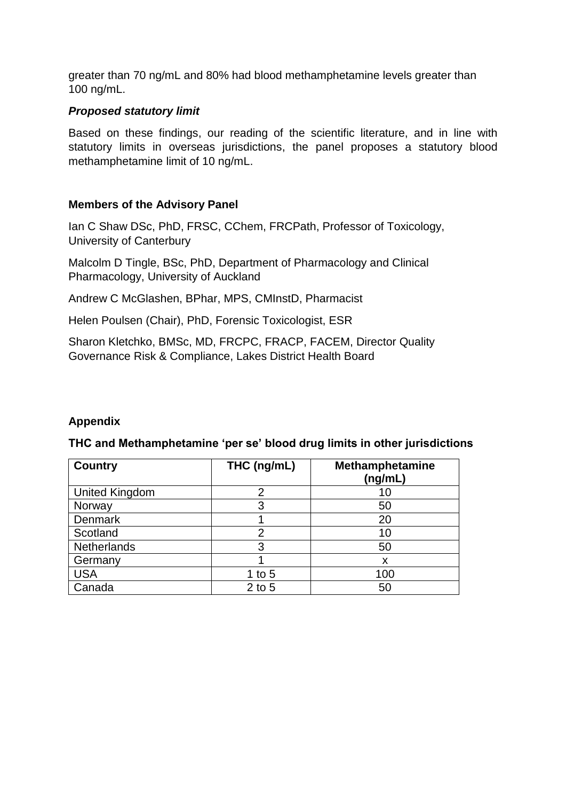greater than 70 ng/mL and 80% had blood methamphetamine levels greater than 100 ng/mL.

### *Proposed statutory limit*

Based on these findings, our reading of the scientific literature, and in line with statutory limits in overseas jurisdictions, the panel proposes a statutory blood methamphetamine limit of 10 ng/mL.

### **Members of the Advisory Panel**

Ian C Shaw DSc, PhD, FRSC, CChem, FRCPath, Professor of Toxicology, University of Canterbury

Malcolm D Tingle, BSc, PhD, Department of Pharmacology and Clinical Pharmacology, University of Auckland

Andrew C McGlashen, BPhar, MPS, CMInstD, Pharmacist

Helen Poulsen (Chair), PhD, Forensic Toxicologist, ESR

Sharon Kletchko, BMSc, MD, FRCPC, FRACP, FACEM, Director Quality Governance Risk & Compliance, Lakes District Health Board

### **Appendix**

### **THC and Methamphetamine 'per se' blood drug limits in other jurisdictions**

| <b>Country</b>        | THC (ng/mL) | Methamphetamine<br>(ng/mL) |
|-----------------------|-------------|----------------------------|
| <b>United Kingdom</b> | 2           | 10                         |
| Norway                | 3           | 50                         |
| Denmark               |             | 20                         |
| Scotland              | 2           | 10                         |
| <b>Netherlands</b>    | 3           | 50                         |
| Germany               |             | X                          |
| <b>USA</b>            | 1 to $5$    | 100                        |
| Canada                | $2$ to 5    | 50                         |